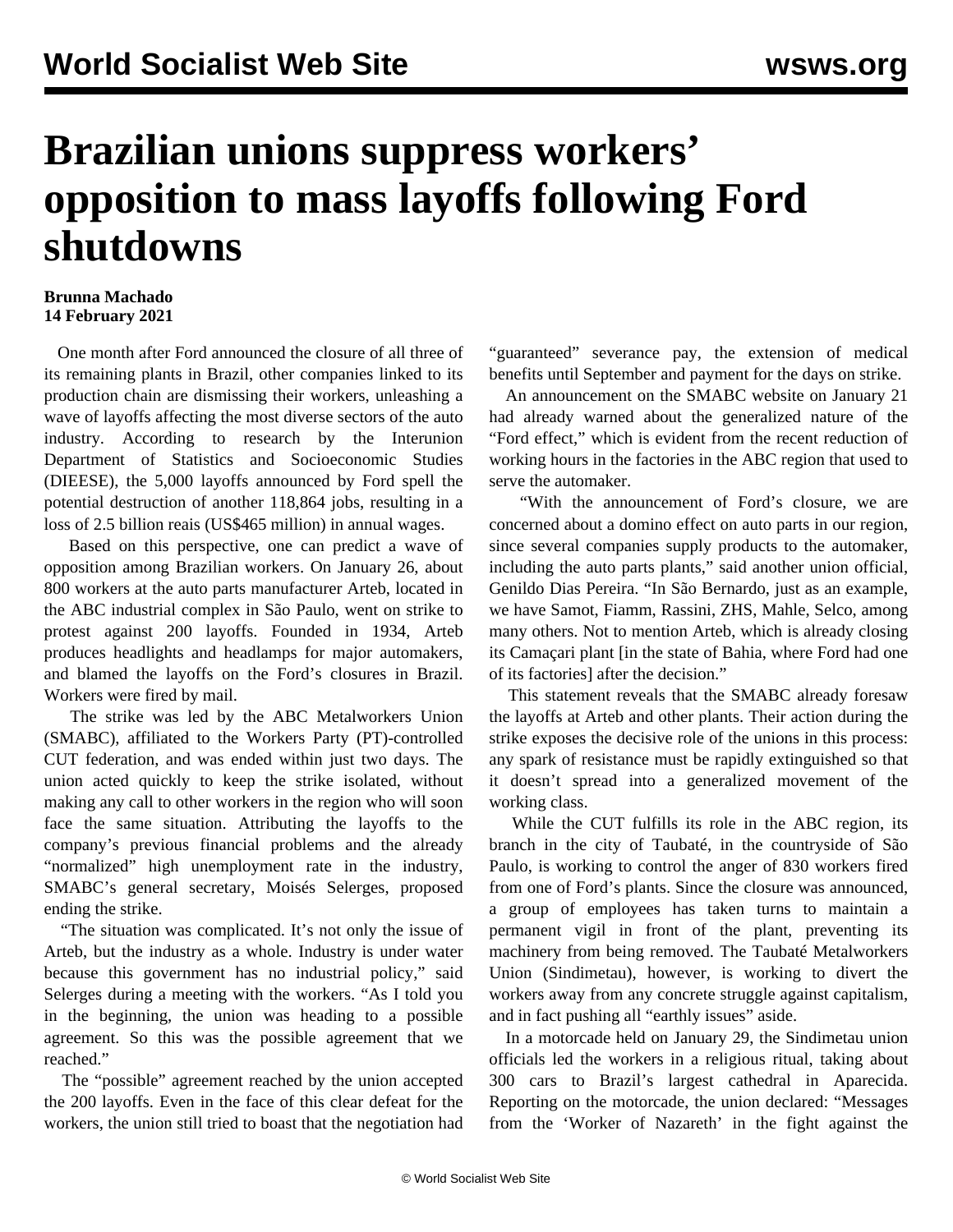## **Brazilian unions suppress workers' opposition to mass layoffs following Ford shutdowns**

## **Brunna Machado 14 February 2021**

 One month after Ford announced the closure of all three of its remaining plants in Brazil, other companies linked to its production chain are dismissing their workers, unleashing a wave of layoffs affecting the most diverse sectors of the auto industry. According to research by the Interunion Department of Statistics and Socioeconomic Studies (DIEESE), the 5,000 layoffs announced by Ford spell the potential destruction of another 118,864 jobs, resulting in a loss of 2.5 billion reais (US\$465 million) in annual wages.

 Based on this perspective, one can predict a wave of opposition among Brazilian workers. On January 26, about 800 workers at the auto parts manufacturer Arteb, located in the ABC industrial complex in São Paulo, went on strike to protest against 200 layoffs. Founded in 1934, Arteb produces headlights and headlamps for major automakers, and blamed the layoffs on the Ford's closures in Brazil. Workers were fired by mail.

 The strike was led by the ABC Metalworkers Union (SMABC), affiliated to the Workers Party (PT)-controlled CUT federation, and was ended within just two days. The union acted quickly to keep the strike isolated, without making any call to other workers in the region who will soon face the same situation. Attributing the layoffs to the company's previous financial problems and the already "normalized" high unemployment rate in the industry, SMABC's general secretary, Moisés Selerges, proposed ending the strike.

 "The situation was complicated. It's not only the issue of Arteb, but the industry as a whole. Industry is under water because this government has no industrial policy," said Selerges during a meeting with the workers. "As I told you in the beginning, the union was heading to a possible agreement. So this was the possible agreement that we reached."

 The "possible" agreement reached by the union accepted the 200 layoffs. Even in the face of this clear defeat for the workers, the union still tried to boast that the negotiation had "guaranteed" severance pay, the extension of medical benefits until September and payment for the days on strike.

 An announcement on the SMABC website on January 21 had already warned about the generalized nature of the "Ford effect," which is evident from the recent reduction of working hours in the factories in the ABC region that used to serve the automaker.

 "With the announcement of Ford's closure, we are concerned about a domino effect on auto parts in our region, since several companies supply products to the automaker, including the auto parts plants," said another union official, Genildo Dias Pereira. "In São Bernardo, just as an example, we have Samot, Fiamm, Rassini, ZHS, Mahle, Selco, among many others. Not to mention Arteb, which is already closing its Camaçari plant [in the state of Bahia, where Ford had one of its factories] after the decision."

 This statement reveals that the SMABC already foresaw the layoffs at Arteb and other plants. Their action during the strike exposes the decisive role of the unions in this process: any spark of resistance must be rapidly extinguished so that it doesn't spread into a generalized movement of the working class.

 While the CUT fulfills its role in the ABC region, its branch in the city of Taubaté, in the countryside of São Paulo, is working to control the anger of 830 workers fired from one of Ford's plants. Since the closure was announced, a group of employees has taken turns to maintain a permanent vigil in front of the plant, preventing its machinery from being removed. The Taubaté Metalworkers Union (Sindimetau), however, is working to divert the workers away from any concrete struggle against capitalism, and in fact pushing all "earthly issues" aside.

 In a motorcade held on January 29, the Sindimetau union officials led the workers in a religious ritual, taking about 300 cars to Brazil's largest cathedral in Aparecida. Reporting on the motorcade, the union declared: "Messages from the 'Worker of Nazareth' in the fight against the